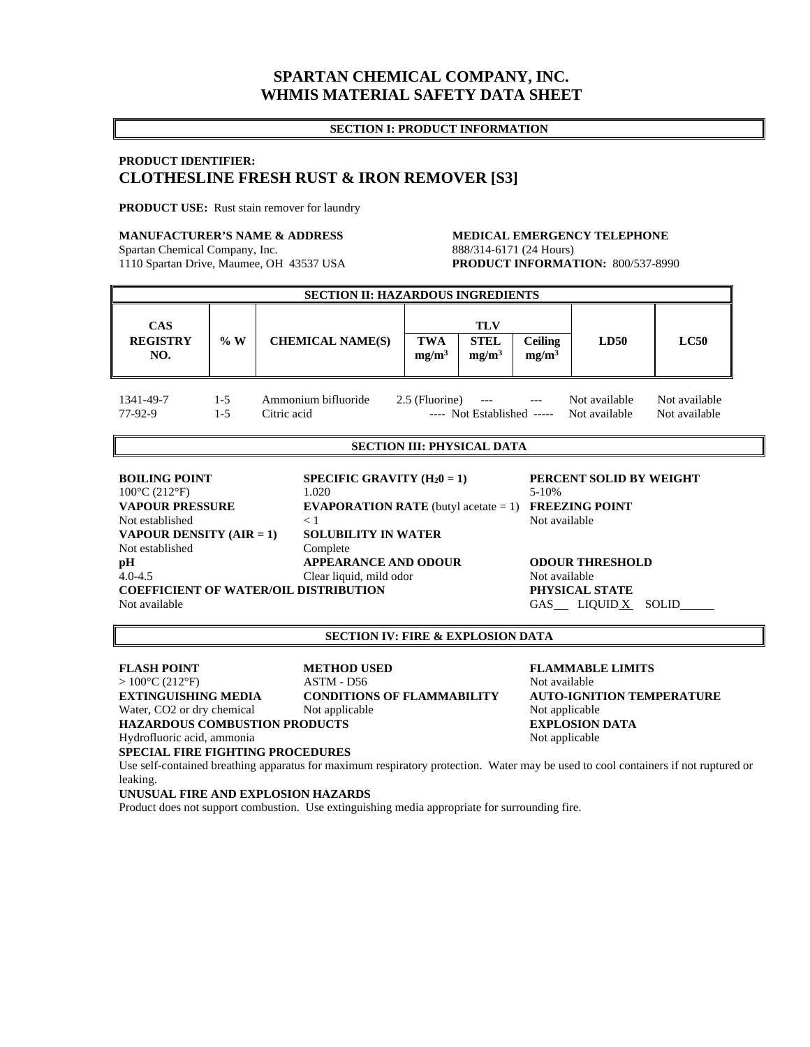## **SPARTAN CHEMICAL COMPANY, INC. WHMIS MATERIAL SAFETY DATA SHEET**

#### **SECTION I: PRODUCT INFORMATION**

## **PRODUCT IDENTIFIER: CLOTHESLINE FRESH RUST & IRON REMOVER [S3]**

**PRODUCT USE:** Rust stain remover for laundry

#### **MANUFACTURER'S NAME & ADDRESS MEDICAL EMERGENCY TELEPHONE**

Spartan Chemical Company, Inc. 888/314-6171 (24 Hours)

# 1110 Spartan Drive, Maumee, OH 43537 USA **PRODUCT INFORMATION:** 800/537-8990

| <b>SECTION II: HAZARDOUS INGREDIENTS</b> |                |                                    |                                 |                                                |                                     |                                |                                |  |
|------------------------------------------|----------------|------------------------------------|---------------------------------|------------------------------------------------|-------------------------------------|--------------------------------|--------------------------------|--|
| <b>CAS</b><br><b>REGISTRY</b><br>NO.     | %W             | <b>CHEMICAL NAME(S)</b>            | <b>TWA</b><br>mg/m <sup>3</sup> | <b>TLV</b><br><b>STEL</b><br>mg/m <sup>3</sup> | <b>Ceiling</b><br>mg/m <sup>3</sup> | LD50                           | LC50                           |  |
| 1341-49-7<br>77-92-9                     | $1-5$<br>$1-5$ | Ammonium bifluoride<br>Citric acid | 2.5 (Fluorine)                  | $---$<br>---- Not Established -----            |                                     | Not available<br>Not available | Not available<br>Not available |  |

### **SECTION III: PHYSICAL DATA**

**BOILING POINT** SPECIFIC GRAVITY (H<sub>2</sub>0 = 1) PERCENT SOLID BY WEIGHT 1.020 5-10% 5-10% **VAPOUR PRESSURE EVAPORATION RATE** (butyl acetate = 1) **FREEZING POINT** Not established  $\lt 1$   $\lt 1$  Not available **VAPOUR DENSITY (AIR = 1) SOLUBILITY IN WATER** Not established Complete **pH** APPEARANCE AND ODOUR ODOUR THRESHOLD 4.0-4.5 Clear liquid, mild odor Not available **COEFFICIENT OF WATER/OIL DISTRIBUTION PHYSICAL STATE**  Not available GAS LIQUID X SOLID

#### **SECTION IV: FIRE & EXPLOSION DATA**

**FLASH POINT METHOD USED FLAMMABLE LIMITS**   $> 100^{\circ}C (212^{\circ}F)$  ASTM - D56 Not available **EXTINGUISHING MEDIA CONDITIONS OF FLAMMABILITY AUTO-IGNITION TEMPERATURE**  Water, CO2 or dry chemical Not applicable Not applicable Not applicable **HAZARDOUS COMBUSTION PRODUCTS EXPLOSION DATA** Hydrofluoric acid, ammonia  $\blacksquare$ **SPECIAL FIRE FIGHTING PROCEDURES** 

Use self-contained breathing apparatus for maximum respiratory protection. Water may be used to cool containers if not ruptured or leaking.

#### **UNUSUAL FIRE AND EXPLOSION HAZARDS**

Product does not support combustion. Use extinguishing media appropriate for surrounding fire.